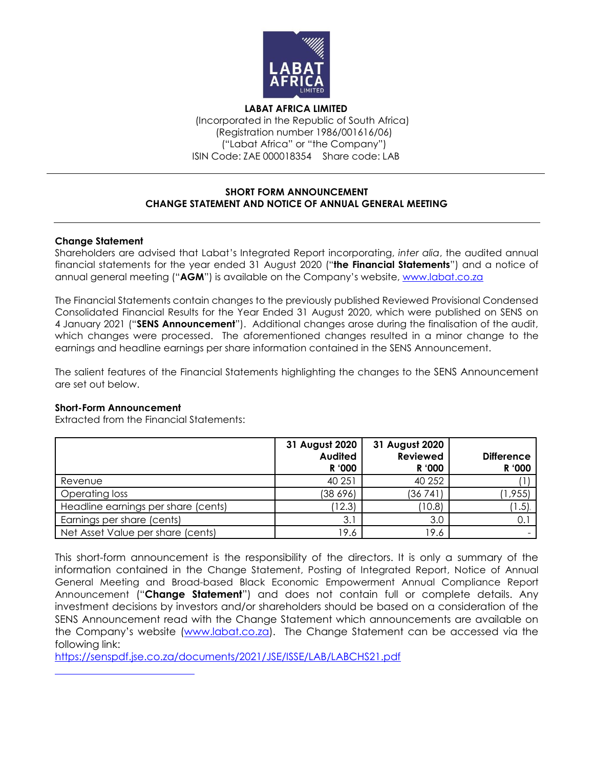

**LABAT AFRICA LIMITED** (Incorporated in the Republic of South Africa) (Registration number 1986/001616/06) ("Labat Africa" or "the Company") ISIN Code: ZAE 000018354 Share code: LAB

### **SHORT FORM ANNOUNCEMENT CHANGE STATEMENT AND NOTICE OF ANNUAL GENERAL MEETING**

## **Change Statement**

Shareholders are advised that Labat's Integrated Report incorporating, *inter alia*, the audited annual financial statements for the year ended 31 August 2020 ("**the Financial Statements**") and a notice of annual general meeting ("**AGM**") is available on the Company's website, [www.labat.co.za](http://www.labat.co.za/)

The Financial Statements contain changes to the previously published Reviewed Provisional Condensed Consolidated Financial Results for the Year Ended 31 August 2020, which were published on SENS on 4 January 2021 ("**SENS Announcement**"). Additional changes arose during the finalisation of the audit, which changes were processed. The aforementioned changes resulted in a minor change to the earnings and headline earnings per share information contained in the SENS Announcement.

The salient features of the Financial Statements highlighting the changes to the SENS Announcement are set out below.

#### **Short-Form Announcement**

Extracted from the Financial Statements:

|                                     | 31 August 2020<br>Audited<br>R '000 | 31 August 2020<br><b>Reviewed</b><br>R '000 | <b>Difference</b><br>R '000 |
|-------------------------------------|-------------------------------------|---------------------------------------------|-----------------------------|
| Revenue                             | 40 251                              | 40 25 2                                     |                             |
| Operating loss                      | (38 696)                            | (36741)                                     | (1, 955)                    |
| Headline earnings per share (cents) | (12.3)                              | (10.8)                                      | (1.5)                       |
| Earnings per share (cents)          | 3.1                                 | 3.0                                         | 0.1                         |
| Net Asset Value per share (cents)   | 19.6                                | 19.6                                        |                             |

This short-form announcement is the responsibility of the directors. It is only a summary of the information contained in the Change Statement, Posting of Integrated Report, Notice of Annual General Meeting and Broad-based Black Economic Empowerment Annual Compliance Report Announcement ("**Change Statement**") and does not contain full or complete details. Any investment decisions by investors and/or shareholders should be based on a consideration of the SENS Announcement read with the Change Statement which announcements are available on the Company's website ([www.labat.co.za\)](http://www.labat.co.za/). The Change Statement can be accessed via the following link:

<https://senspdf.jse.co.za/documents/2021/JSE/ISSE/LAB/LABCHS21.pdf>